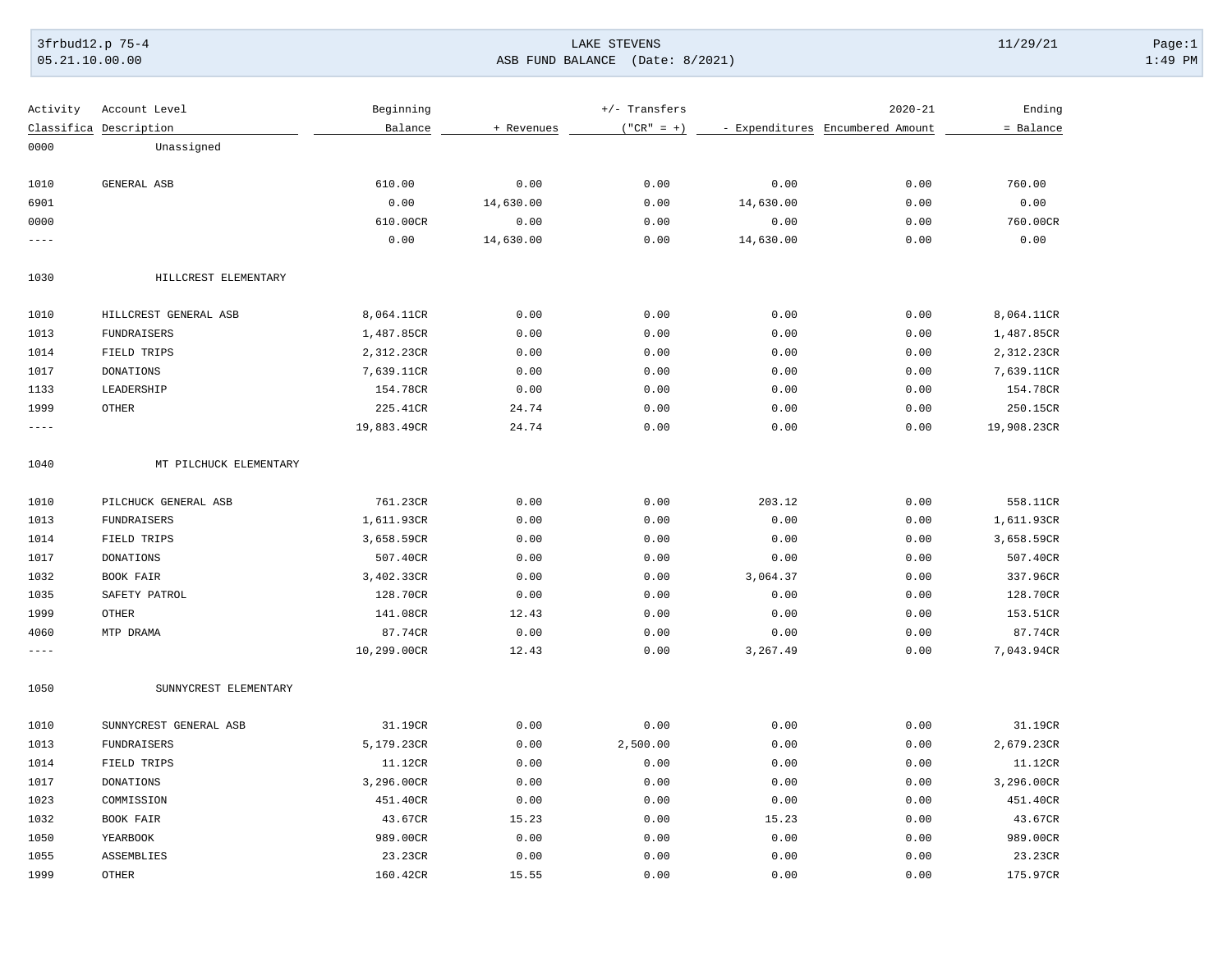### 3frbud12.p 75-4 LAKE STEVENS 11/29/21 Page:1 [05.21.10.00.00](https://05.21.10.00.00) ASB FUND BALANCE (Date: 8/2021) 1:49 PM

| Activity    | Account Level          | Beginning   |            | +/- Transfers |           | $2020 - 21$                      | Ending      |
|-------------|------------------------|-------------|------------|---------------|-----------|----------------------------------|-------------|
|             | Classifica Description | Balance     | + Revenues | $("CR" = +)$  |           | - Expenditures Encumbered Amount | = Balance   |
| 0000        | Unassigned             |             |            |               |           |                                  |             |
|             |                        |             |            |               |           |                                  |             |
| 1010        | GENERAL ASB            | 610.00      | 0.00       | 0.00          | 0.00      | 0.00                             | 760.00      |
| 6901        |                        | 0.00        | 14,630.00  | 0.00          | 14,630.00 | 0.00                             | 0.00        |
| 0000        |                        | 610.00CR    | 0.00       | 0.00          | 0.00      | 0.00                             | 760.00CR    |
| $- - - -$   |                        | 0.00        | 14,630.00  | 0.00          | 14,630.00 | 0.00                             | 0.00        |
| 1030        | HILLCREST ELEMENTARY   |             |            |               |           |                                  |             |
| 1010        | HILLCREST GENERAL ASB  | 8,064.11CR  | 0.00       | 0.00          | 0.00      | 0.00                             | 8,064.11CR  |
| 1013        | FUNDRAISERS            | 1,487.85CR  | 0.00       | 0.00          | 0.00      | 0.00                             | 1,487.85CR  |
| 1014        | FIELD TRIPS            | 2,312.23CR  | 0.00       | 0.00          | 0.00      | 0.00                             | 2,312.23CR  |
| 1017        | <b>DONATIONS</b>       | 7,639.11CR  | 0.00       | 0.00          | 0.00      | 0.00                             | 7,639.11CR  |
| 1133        | LEADERSHIP             | 154.78CR    | 0.00       | 0.00          | 0.00      | 0.00                             | 154.78CR    |
| 1999        | OTHER                  | 225.41CR    | 24.74      | 0.00          | 0.00      | 0.00                             | 250.15CR    |
| $- - - - -$ |                        | 19,883.49CR | 24.74      | 0.00          | 0.00      | 0.00                             | 19,908.23CR |
| 1040        | MT PILCHUCK ELEMENTARY |             |            |               |           |                                  |             |
| 1010        | PILCHUCK GENERAL ASB   | 761.23CR    | 0.00       | 0.00          | 203.12    | 0.00                             | 558.11CR    |
| 1013        | FUNDRAISERS            | 1,611.93CR  | 0.00       | 0.00          | 0.00      | 0.00                             | 1,611.93CR  |
| 1014        | FIELD TRIPS            | 3,658.59CR  | 0.00       | 0.00          | 0.00      | 0.00                             | 3,658.59CR  |
| 1017        | <b>DONATIONS</b>       | 507.40CR    | 0.00       | 0.00          | 0.00      | 0.00                             | 507.40CR    |
| 1032        | BOOK FAIR              | 3,402.33CR  | 0.00       | 0.00          | 3,064.37  | 0.00                             | 337.96CR    |
| 1035        | SAFETY PATROL          | 128.70CR    | 0.00       | 0.00          | 0.00      | 0.00                             | 128.70CR    |
| 1999        | <b>OTHER</b>           | 141.08CR    | 12.43      | 0.00          | 0.00      | 0.00                             | 153.51CR    |
| 4060        | MTP DRAMA              | 87.74CR     | 0.00       | 0.00          | 0.00      | 0.00                             | 87.74CR     |
| $---$       |                        | 10,299.00CR | 12.43      | 0.00          | 3,267.49  | 0.00                             | 7,043.94CR  |
| 1050        | SUNNYCREST ELEMENTARY  |             |            |               |           |                                  |             |
| 1010        | SUNNYCREST GENERAL ASB | 31.19CR     | 0.00       | 0.00          | 0.00      | 0.00                             | 31.19CR     |
| 1013        | <b>FUNDRAISERS</b>     | 5,179.23CR  | 0.00       | 2,500.00      | 0.00      | 0.00                             | 2,679.23CR  |
| 1014        | FIELD TRIPS            | 11.12CR     | 0.00       | 0.00          | 0.00      | 0.00                             | 11.12CR     |
| 1017        | <b>DONATIONS</b>       | 3,296.00CR  | 0.00       | 0.00          | 0.00      | 0.00                             | 3,296.00CR  |
| 1023        | COMMISSION             | 451.40CR    | 0.00       | 0.00          | 0.00      | 0.00                             | 451.40CR    |
| 1032        | BOOK FAIR              | 43.67CR     | 15.23      | 0.00          | 15.23     | 0.00                             | 43.67CR     |
| 1050        | YEARBOOK               | 989.00CR    | 0.00       | 0.00          | 0.00      | 0.00                             | 989.00CR    |
| 1055        | ASSEMBLIES             | 23.23CR     | 0.00       | 0.00          | 0.00      | 0.00                             | 23.23CR     |
| 1999        | <b>OTHER</b>           | 160.42CR    | 15.55      | 0.00          | 0.00      | 0.00                             | 175.97CR    |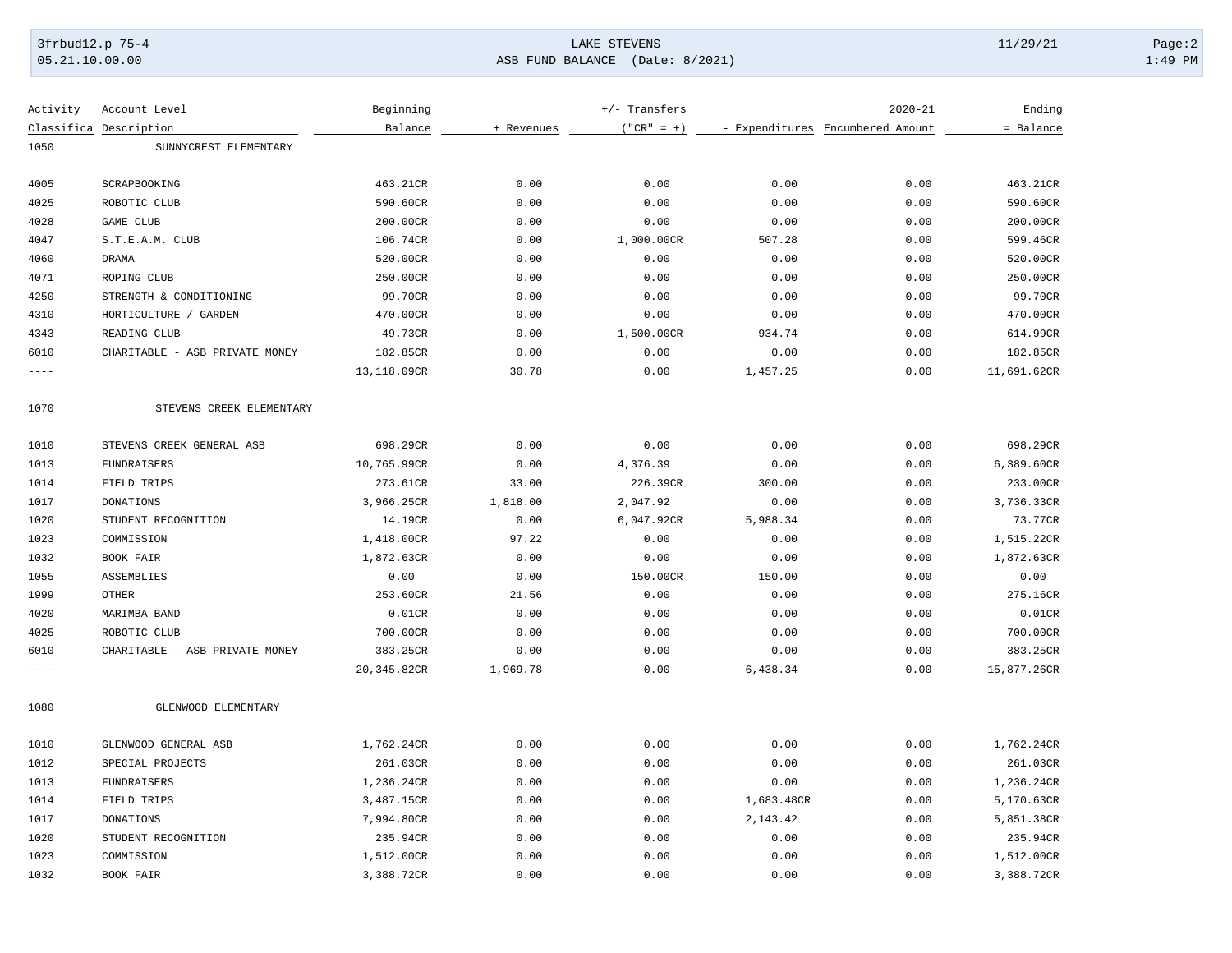# 3frbud12.p 75-4 Page:2 Page:2 Page:2 Page:2 Page:2 Page:2 Page:2 Page:2 Page:2 Page:2 Page:2 Page:2 Page:2 Page:2 Page:2 Page:2 Page:2 Page:2 Page:2 Page:2 Page:2 Page:2 Page:2 Page:2 Page:2 Page:2 Page:2 Page:2 Page:2 Pag [05.21.10.00.00](https://05.21.10.00.00) ASB FUND BALANCE (Date: 8/2021) 1:49 PM

| Activity    | Account Level                  | Beginning   |            | $+/-$ Transfers |            | $2020 - 21$                      | Ending      |
|-------------|--------------------------------|-------------|------------|-----------------|------------|----------------------------------|-------------|
|             | Classifica Description         | Balance     | + Revenues | $("CR" = +)$    |            | - Expenditures Encumbered Amount | = Balance   |
| 1050        | SUNNYCREST ELEMENTARY          |             |            |                 |            |                                  |             |
| 4005        | SCRAPBOOKING                   | 463.21CR    | 0.00       | 0.00            | 0.00       | 0.00                             | 463.21CR    |
| 4025        | ROBOTIC CLUB                   | 590.60CR    | 0.00       | 0.00            | 0.00       | 0.00                             | 590.60CR    |
| 4028        | GAME CLUB                      | 200.00CR    | 0.00       | 0.00            | 0.00       | 0.00                             | 200.00CR    |
| 4047        | S.T.E.A.M. CLUB                | 106.74CR    | 0.00       | 1,000.00CR      | 507.28     | 0.00                             | 599.46CR    |
| 4060        | <b>DRAMA</b>                   | 520.00CR    | 0.00       | 0.00            | 0.00       | 0.00                             | 520.00CR    |
| 4071        | ROPING CLUB                    | 250.00CR    | 0.00       | 0.00            | 0.00       | 0.00                             | 250.00CR    |
| 4250        | STRENGTH & CONDITIONING        | 99.70CR     | 0.00       | 0.00            | 0.00       | 0.00                             | 99.70CR     |
| 4310        | HORTICULTURE / GARDEN          | 470.00CR    | 0.00       | 0.00            | 0.00       | 0.00                             | 470.00CR    |
| 4343        | READING CLUB                   | 49.73CR     | 0.00       | 1,500.00CR      | 934.74     | 0.00                             | 614.99CR    |
| 6010        | CHARITABLE - ASB PRIVATE MONEY | 182.85CR    | 0.00       | 0.00            | 0.00       | 0.00                             | 182.85CR    |
| $- - - - -$ |                                | 13,118.09CR | 30.78      | 0.00            | 1,457.25   | 0.00                             | 11,691.62CR |
| 1070        | STEVENS CREEK ELEMENTARY       |             |            |                 |            |                                  |             |
| 1010        | STEVENS CREEK GENERAL ASB      | 698.29CR    | 0.00       | 0.00            | 0.00       | 0.00                             | 698.29CR    |
| 1013        | FUNDRAISERS                    | 10,765.99CR | 0.00       | 4,376.39        | 0.00       | 0.00                             | 6,389.60CR  |
| 1014        | FIELD TRIPS                    | 273.61CR    | 33.00      | 226.39CR        | 300.00     | 0.00                             | 233.00CR    |
| 1017        | <b>DONATIONS</b>               | 3,966.25CR  | 1,818.00   | 2,047.92        | 0.00       | 0.00                             | 3,736.33CR  |
| 1020        | STUDENT RECOGNITION            | 14.19CR     | 0.00       | 6,047.92CR      | 5,988.34   | 0.00                             | 73.77CR     |
| 1023        | COMMISSION                     | 1,418.00CR  | 97.22      | 0.00            | 0.00       | 0.00                             | 1,515.22CR  |
| 1032        | <b>BOOK FAIR</b>               | 1,872.63CR  | 0.00       | 0.00            | 0.00       | 0.00                             | 1,872.63CR  |
| 1055        | ASSEMBLIES                     | 0.00        | 0.00       | 150.00CR        | 150.00     | 0.00                             | 0.00        |
| 1999        | <b>OTHER</b>                   | 253.60CR    | 21.56      | 0.00            | 0.00       | 0.00                             | 275.16CR    |
| 4020        | MARIMBA BAND                   | 0.01CR      | 0.00       | 0.00            | 0.00       | 0.00                             | 0.01CR      |
| 4025        | ROBOTIC CLUB                   | 700.00CR    | 0.00       | 0.00            | 0.00       | 0.00                             | 700.00CR    |
| 6010        | CHARITABLE - ASB PRIVATE MONEY | 383.25CR    | 0.00       | 0.00            | 0.00       | 0.00                             | 383.25CR    |
| $- - - -$   |                                | 20,345.82CR | 1,969.78   | 0.00            | 6,438.34   | 0.00                             | 15,877.26CR |
| 1080        | GLENWOOD ELEMENTARY            |             |            |                 |            |                                  |             |
| 1010        | GLENWOOD GENERAL ASB           | 1,762.24CR  | 0.00       | 0.00            | 0.00       | 0.00                             | 1,762.24CR  |
| 1012        | SPECIAL PROJECTS               | 261.03CR    | 0.00       | 0.00            | 0.00       | 0.00                             | 261.03CR    |
| 1013        | FUNDRAISERS                    | 1,236.24CR  | 0.00       | 0.00            | 0.00       | 0.00                             | 1,236.24CR  |
| 1014        | FIELD TRIPS                    | 3,487.15CR  | 0.00       | 0.00            | 1,683.48CR | 0.00                             | 5,170.63CR  |
| 1017        | <b>DONATIONS</b>               | 7,994.80CR  | 0.00       | 0.00            | 2,143.42   | 0.00                             | 5,851.38CR  |
| 1020        | STUDENT RECOGNITION            | 235.94CR    | 0.00       | 0.00            | 0.00       | 0.00                             | 235.94CR    |
| 1023        | COMMISSION                     | 1,512.00CR  | 0.00       | 0.00            | 0.00       | 0.00                             | 1,512.00CR  |
| 1032        | BOOK FAIR                      | 3,388.72CR  | 0.00       | 0.00            | 0.00       | 0.00                             | 3,388.72CR  |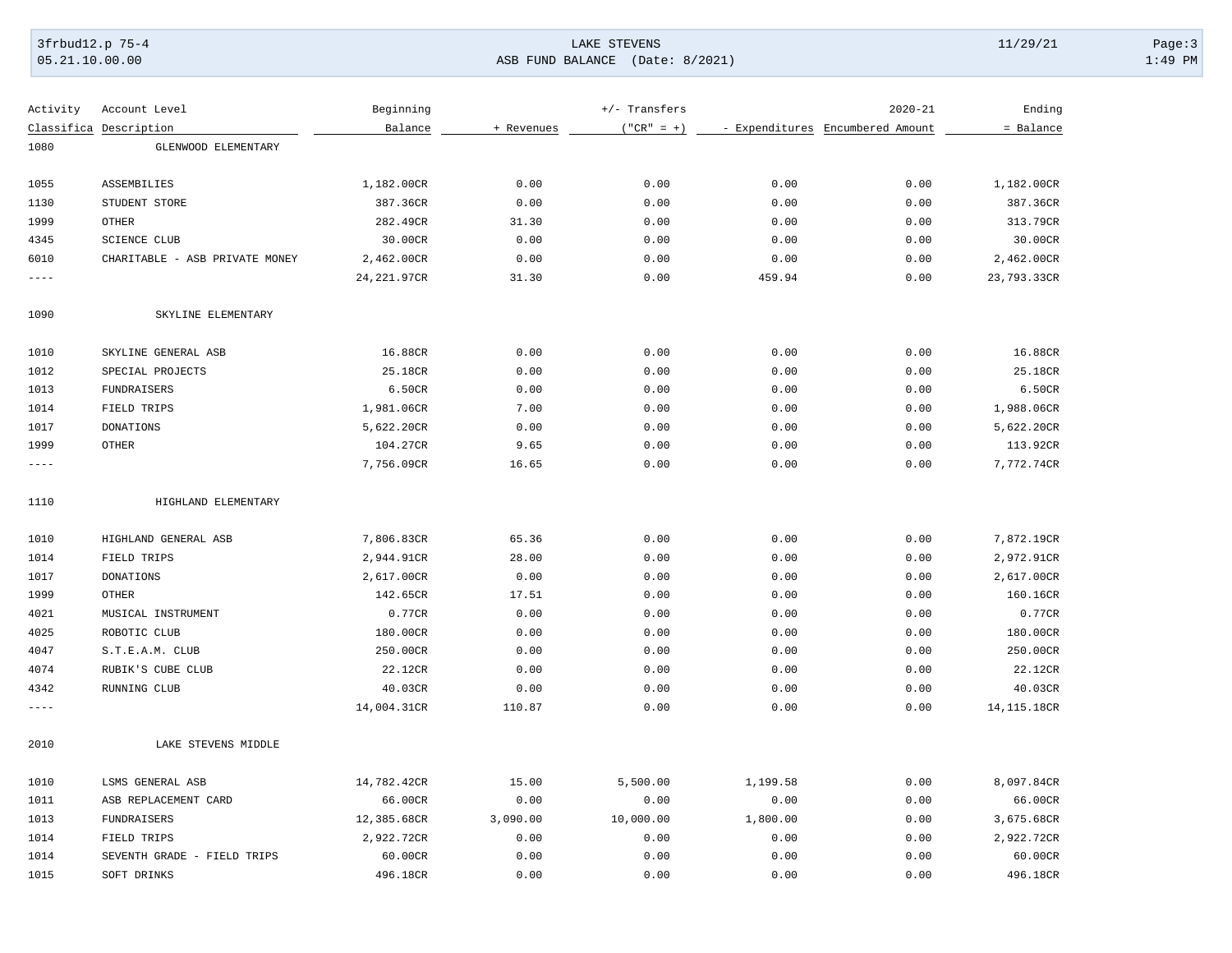# 3frbud12.p 75-4 Page:3 Page:3 Page:3 Page:3 Page:3 Page:3 Page:3 Page:3 Page:3 Page:3 Page:3 Page:3 Page:3 Page:3 Page:3 Page:3 Page:3 Page:3 Page:3 Page:3 Page:3 Page:3 Page:3 Page:3 Page:3 Page:3 Page:3 Page:3 Page:3 Pag [05.21.10.00.00](https://05.21.10.00.00) ASB FUND BALANCE (Date: 8/2021) 1:49 PM

| = Balance<br>Classifica Description<br>Balance<br>+ Revenues<br>$("CR" = +)$<br>- Expenditures Encumbered Amount<br>1080<br>GLENWOOD ELEMENTARY<br>1055<br>ASSEMBILIES<br>0.00<br>0.00<br>1,182.00CR<br>0.00<br>0.00<br>1,182.00CR<br>1130<br>STUDENT STORE<br>387.36CR<br>0.00<br>0.00<br>0.00<br>0.00<br>387.36CR<br>1999<br><b>OTHER</b><br>282.49CR<br>31.30<br>0.00<br>0.00<br>0.00<br>313.79CR<br>4345<br><b>SCIENCE CLUB</b><br>30.00CR<br>30.00CR<br>0.00<br>0.00<br>0.00<br>0.00<br>6010<br>0.00<br>0.00<br>2,462.00CR<br>CHARITABLE - ASB PRIVATE MONEY<br>2,462.00CR<br>0.00<br>0.00<br>24, 221.97CR<br>31.30<br>0.00<br>459.94<br>0.00<br>23,793.33CR<br>----<br>1090<br>SKYLINE ELEMENTARY<br>1010<br>SKYLINE GENERAL ASB<br>16.88CR<br>0.00<br>0.00<br>0.00<br>0.00<br>16.88CR<br>1012<br>0.00<br>0.00<br>0.00<br>25.18CR<br>SPECIAL PROJECTS<br>25.18CR<br>0.00<br>1013<br>FUNDRAISERS<br>6.50CR<br>0.00<br>0.00<br>0.00<br>0.00<br>6.50CR<br>1014<br>FIELD TRIPS<br>7.00<br>0.00<br>0.00<br>1,988.06CR<br>1,981.06CR<br>0.00<br>1017<br><b>DONATIONS</b><br>5,622.20CR<br>0.00<br>0.00<br>0.00<br>0.00<br>5,622.20CR<br>1999<br>OTHER<br>0.00<br>104.27CR<br>9.65<br>0.00<br>0.00<br>113.92CR<br>0.00<br>0.00<br>7,772.74CR<br>7,756.09CR<br>16.65<br>0.00<br>$---$<br>1110<br>HIGHLAND ELEMENTARY<br>1010<br>HIGHLAND GENERAL ASB<br>7,806.83CR<br>65.36<br>0.00<br>0.00<br>0.00<br>7,872.19CR<br>1014<br>FIELD TRIPS<br>2,944.91CR<br>28.00<br>0.00<br>0.00<br>0.00<br>2,972.91CR<br>1017<br><b>DONATIONS</b><br>2,617.00CR<br>2,617.00CR<br>0.00<br>0.00<br>0.00<br>0.00<br>1999<br><b>OTHER</b><br>17.51<br>0.00<br>0.00<br>0.00<br>160.16CR<br>142.65CR<br>4021<br>MUSICAL INSTRUMENT<br>0.77CR<br>0.00<br>0.00<br>0.00<br>0.00<br>0.77CR<br>4025<br>ROBOTIC CLUB<br>180.00CR<br>0.00<br>0.00<br>0.00<br>0.00<br>180.00CR<br>4047<br>S.T.E.A.M. CLUB<br>250.00CR<br>0.00<br>0.00<br>0.00<br>0.00<br>250.00CR<br>4074<br>RUBIK'S CUBE CLUB<br>0.00<br>22.12CR<br>22.12CR<br>0.00<br>0.00<br>0.00<br>4342<br>RUNNING CLUB<br>0.00<br>0.00<br>40.03CR<br>40.03CR<br>0.00<br>0.00<br>14,004.31CR<br>110.87<br>0.00<br>0.00<br>0.00<br>14, 115.18CR<br>----<br>LAKE STEVENS MIDDLE<br>2010<br>1010<br>15.00<br>0.00<br>8,097.84CR<br>LSMS GENERAL ASB<br>14,782.42CR<br>5,500.00<br>1,199.58<br>0.00<br>0.00<br>66.00CR<br>1011<br>ASB REPLACEMENT CARD<br>66.00CR<br>0.00<br>0.00<br>1013<br><b>FUNDRAISERS</b><br>12,385.68CR<br>3,090.00<br>10,000.00<br>1,800.00<br>3,675.68CR<br>0.00<br>2,922.72CR<br>1014<br>FIELD TRIPS<br>2,922.72CR<br>0.00<br>0.00<br>0.00<br>0.00 | Activity | Account Level | Beginning | $+/-$ Transfers | $2020 - 21$ | Ending |
|-----------------------------------------------------------------------------------------------------------------------------------------------------------------------------------------------------------------------------------------------------------------------------------------------------------------------------------------------------------------------------------------------------------------------------------------------------------------------------------------------------------------------------------------------------------------------------------------------------------------------------------------------------------------------------------------------------------------------------------------------------------------------------------------------------------------------------------------------------------------------------------------------------------------------------------------------------------------------------------------------------------------------------------------------------------------------------------------------------------------------------------------------------------------------------------------------------------------------------------------------------------------------------------------------------------------------------------------------------------------------------------------------------------------------------------------------------------------------------------------------------------------------------------------------------------------------------------------------------------------------------------------------------------------------------------------------------------------------------------------------------------------------------------------------------------------------------------------------------------------------------------------------------------------------------------------------------------------------------------------------------------------------------------------------------------------------------------------------------------------------------------------------------------------------------------------------------------------------------------------------------------------------------------------------------------------------------------------------------------------------------------------------------------------------------------------------------------------------------------------------------------------------------------------------------------------------------------------------|----------|---------------|-----------|-----------------|-------------|--------|
|                                                                                                                                                                                                                                                                                                                                                                                                                                                                                                                                                                                                                                                                                                                                                                                                                                                                                                                                                                                                                                                                                                                                                                                                                                                                                                                                                                                                                                                                                                                                                                                                                                                                                                                                                                                                                                                                                                                                                                                                                                                                                                                                                                                                                                                                                                                                                                                                                                                                                                                                                                                               |          |               |           |                 |             |        |
|                                                                                                                                                                                                                                                                                                                                                                                                                                                                                                                                                                                                                                                                                                                                                                                                                                                                                                                                                                                                                                                                                                                                                                                                                                                                                                                                                                                                                                                                                                                                                                                                                                                                                                                                                                                                                                                                                                                                                                                                                                                                                                                                                                                                                                                                                                                                                                                                                                                                                                                                                                                               |          |               |           |                 |             |        |
|                                                                                                                                                                                                                                                                                                                                                                                                                                                                                                                                                                                                                                                                                                                                                                                                                                                                                                                                                                                                                                                                                                                                                                                                                                                                                                                                                                                                                                                                                                                                                                                                                                                                                                                                                                                                                                                                                                                                                                                                                                                                                                                                                                                                                                                                                                                                                                                                                                                                                                                                                                                               |          |               |           |                 |             |        |
|                                                                                                                                                                                                                                                                                                                                                                                                                                                                                                                                                                                                                                                                                                                                                                                                                                                                                                                                                                                                                                                                                                                                                                                                                                                                                                                                                                                                                                                                                                                                                                                                                                                                                                                                                                                                                                                                                                                                                                                                                                                                                                                                                                                                                                                                                                                                                                                                                                                                                                                                                                                               |          |               |           |                 |             |        |
|                                                                                                                                                                                                                                                                                                                                                                                                                                                                                                                                                                                                                                                                                                                                                                                                                                                                                                                                                                                                                                                                                                                                                                                                                                                                                                                                                                                                                                                                                                                                                                                                                                                                                                                                                                                                                                                                                                                                                                                                                                                                                                                                                                                                                                                                                                                                                                                                                                                                                                                                                                                               |          |               |           |                 |             |        |
|                                                                                                                                                                                                                                                                                                                                                                                                                                                                                                                                                                                                                                                                                                                                                                                                                                                                                                                                                                                                                                                                                                                                                                                                                                                                                                                                                                                                                                                                                                                                                                                                                                                                                                                                                                                                                                                                                                                                                                                                                                                                                                                                                                                                                                                                                                                                                                                                                                                                                                                                                                                               |          |               |           |                 |             |        |
|                                                                                                                                                                                                                                                                                                                                                                                                                                                                                                                                                                                                                                                                                                                                                                                                                                                                                                                                                                                                                                                                                                                                                                                                                                                                                                                                                                                                                                                                                                                                                                                                                                                                                                                                                                                                                                                                                                                                                                                                                                                                                                                                                                                                                                                                                                                                                                                                                                                                                                                                                                                               |          |               |           |                 |             |        |
|                                                                                                                                                                                                                                                                                                                                                                                                                                                                                                                                                                                                                                                                                                                                                                                                                                                                                                                                                                                                                                                                                                                                                                                                                                                                                                                                                                                                                                                                                                                                                                                                                                                                                                                                                                                                                                                                                                                                                                                                                                                                                                                                                                                                                                                                                                                                                                                                                                                                                                                                                                                               |          |               |           |                 |             |        |
|                                                                                                                                                                                                                                                                                                                                                                                                                                                                                                                                                                                                                                                                                                                                                                                                                                                                                                                                                                                                                                                                                                                                                                                                                                                                                                                                                                                                                                                                                                                                                                                                                                                                                                                                                                                                                                                                                                                                                                                                                                                                                                                                                                                                                                                                                                                                                                                                                                                                                                                                                                                               |          |               |           |                 |             |        |
|                                                                                                                                                                                                                                                                                                                                                                                                                                                                                                                                                                                                                                                                                                                                                                                                                                                                                                                                                                                                                                                                                                                                                                                                                                                                                                                                                                                                                                                                                                                                                                                                                                                                                                                                                                                                                                                                                                                                                                                                                                                                                                                                                                                                                                                                                                                                                                                                                                                                                                                                                                                               |          |               |           |                 |             |        |
|                                                                                                                                                                                                                                                                                                                                                                                                                                                                                                                                                                                                                                                                                                                                                                                                                                                                                                                                                                                                                                                                                                                                                                                                                                                                                                                                                                                                                                                                                                                                                                                                                                                                                                                                                                                                                                                                                                                                                                                                                                                                                                                                                                                                                                                                                                                                                                                                                                                                                                                                                                                               |          |               |           |                 |             |        |
|                                                                                                                                                                                                                                                                                                                                                                                                                                                                                                                                                                                                                                                                                                                                                                                                                                                                                                                                                                                                                                                                                                                                                                                                                                                                                                                                                                                                                                                                                                                                                                                                                                                                                                                                                                                                                                                                                                                                                                                                                                                                                                                                                                                                                                                                                                                                                                                                                                                                                                                                                                                               |          |               |           |                 |             |        |
|                                                                                                                                                                                                                                                                                                                                                                                                                                                                                                                                                                                                                                                                                                                                                                                                                                                                                                                                                                                                                                                                                                                                                                                                                                                                                                                                                                                                                                                                                                                                                                                                                                                                                                                                                                                                                                                                                                                                                                                                                                                                                                                                                                                                                                                                                                                                                                                                                                                                                                                                                                                               |          |               |           |                 |             |        |
|                                                                                                                                                                                                                                                                                                                                                                                                                                                                                                                                                                                                                                                                                                                                                                                                                                                                                                                                                                                                                                                                                                                                                                                                                                                                                                                                                                                                                                                                                                                                                                                                                                                                                                                                                                                                                                                                                                                                                                                                                                                                                                                                                                                                                                                                                                                                                                                                                                                                                                                                                                                               |          |               |           |                 |             |        |
|                                                                                                                                                                                                                                                                                                                                                                                                                                                                                                                                                                                                                                                                                                                                                                                                                                                                                                                                                                                                                                                                                                                                                                                                                                                                                                                                                                                                                                                                                                                                                                                                                                                                                                                                                                                                                                                                                                                                                                                                                                                                                                                                                                                                                                                                                                                                                                                                                                                                                                                                                                                               |          |               |           |                 |             |        |
|                                                                                                                                                                                                                                                                                                                                                                                                                                                                                                                                                                                                                                                                                                                                                                                                                                                                                                                                                                                                                                                                                                                                                                                                                                                                                                                                                                                                                                                                                                                                                                                                                                                                                                                                                                                                                                                                                                                                                                                                                                                                                                                                                                                                                                                                                                                                                                                                                                                                                                                                                                                               |          |               |           |                 |             |        |
|                                                                                                                                                                                                                                                                                                                                                                                                                                                                                                                                                                                                                                                                                                                                                                                                                                                                                                                                                                                                                                                                                                                                                                                                                                                                                                                                                                                                                                                                                                                                                                                                                                                                                                                                                                                                                                                                                                                                                                                                                                                                                                                                                                                                                                                                                                                                                                                                                                                                                                                                                                                               |          |               |           |                 |             |        |
|                                                                                                                                                                                                                                                                                                                                                                                                                                                                                                                                                                                                                                                                                                                                                                                                                                                                                                                                                                                                                                                                                                                                                                                                                                                                                                                                                                                                                                                                                                                                                                                                                                                                                                                                                                                                                                                                                                                                                                                                                                                                                                                                                                                                                                                                                                                                                                                                                                                                                                                                                                                               |          |               |           |                 |             |        |
|                                                                                                                                                                                                                                                                                                                                                                                                                                                                                                                                                                                                                                                                                                                                                                                                                                                                                                                                                                                                                                                                                                                                                                                                                                                                                                                                                                                                                                                                                                                                                                                                                                                                                                                                                                                                                                                                                                                                                                                                                                                                                                                                                                                                                                                                                                                                                                                                                                                                                                                                                                                               |          |               |           |                 |             |        |
|                                                                                                                                                                                                                                                                                                                                                                                                                                                                                                                                                                                                                                                                                                                                                                                                                                                                                                                                                                                                                                                                                                                                                                                                                                                                                                                                                                                                                                                                                                                                                                                                                                                                                                                                                                                                                                                                                                                                                                                                                                                                                                                                                                                                                                                                                                                                                                                                                                                                                                                                                                                               |          |               |           |                 |             |        |
|                                                                                                                                                                                                                                                                                                                                                                                                                                                                                                                                                                                                                                                                                                                                                                                                                                                                                                                                                                                                                                                                                                                                                                                                                                                                                                                                                                                                                                                                                                                                                                                                                                                                                                                                                                                                                                                                                                                                                                                                                                                                                                                                                                                                                                                                                                                                                                                                                                                                                                                                                                                               |          |               |           |                 |             |        |
|                                                                                                                                                                                                                                                                                                                                                                                                                                                                                                                                                                                                                                                                                                                                                                                                                                                                                                                                                                                                                                                                                                                                                                                                                                                                                                                                                                                                                                                                                                                                                                                                                                                                                                                                                                                                                                                                                                                                                                                                                                                                                                                                                                                                                                                                                                                                                                                                                                                                                                                                                                                               |          |               |           |                 |             |        |
|                                                                                                                                                                                                                                                                                                                                                                                                                                                                                                                                                                                                                                                                                                                                                                                                                                                                                                                                                                                                                                                                                                                                                                                                                                                                                                                                                                                                                                                                                                                                                                                                                                                                                                                                                                                                                                                                                                                                                                                                                                                                                                                                                                                                                                                                                                                                                                                                                                                                                                                                                                                               |          |               |           |                 |             |        |
|                                                                                                                                                                                                                                                                                                                                                                                                                                                                                                                                                                                                                                                                                                                                                                                                                                                                                                                                                                                                                                                                                                                                                                                                                                                                                                                                                                                                                                                                                                                                                                                                                                                                                                                                                                                                                                                                                                                                                                                                                                                                                                                                                                                                                                                                                                                                                                                                                                                                                                                                                                                               |          |               |           |                 |             |        |
|                                                                                                                                                                                                                                                                                                                                                                                                                                                                                                                                                                                                                                                                                                                                                                                                                                                                                                                                                                                                                                                                                                                                                                                                                                                                                                                                                                                                                                                                                                                                                                                                                                                                                                                                                                                                                                                                                                                                                                                                                                                                                                                                                                                                                                                                                                                                                                                                                                                                                                                                                                                               |          |               |           |                 |             |        |
|                                                                                                                                                                                                                                                                                                                                                                                                                                                                                                                                                                                                                                                                                                                                                                                                                                                                                                                                                                                                                                                                                                                                                                                                                                                                                                                                                                                                                                                                                                                                                                                                                                                                                                                                                                                                                                                                                                                                                                                                                                                                                                                                                                                                                                                                                                                                                                                                                                                                                                                                                                                               |          |               |           |                 |             |        |
|                                                                                                                                                                                                                                                                                                                                                                                                                                                                                                                                                                                                                                                                                                                                                                                                                                                                                                                                                                                                                                                                                                                                                                                                                                                                                                                                                                                                                                                                                                                                                                                                                                                                                                                                                                                                                                                                                                                                                                                                                                                                                                                                                                                                                                                                                                                                                                                                                                                                                                                                                                                               |          |               |           |                 |             |        |
|                                                                                                                                                                                                                                                                                                                                                                                                                                                                                                                                                                                                                                                                                                                                                                                                                                                                                                                                                                                                                                                                                                                                                                                                                                                                                                                                                                                                                                                                                                                                                                                                                                                                                                                                                                                                                                                                                                                                                                                                                                                                                                                                                                                                                                                                                                                                                                                                                                                                                                                                                                                               |          |               |           |                 |             |        |
|                                                                                                                                                                                                                                                                                                                                                                                                                                                                                                                                                                                                                                                                                                                                                                                                                                                                                                                                                                                                                                                                                                                                                                                                                                                                                                                                                                                                                                                                                                                                                                                                                                                                                                                                                                                                                                                                                                                                                                                                                                                                                                                                                                                                                                                                                                                                                                                                                                                                                                                                                                                               |          |               |           |                 |             |        |
|                                                                                                                                                                                                                                                                                                                                                                                                                                                                                                                                                                                                                                                                                                                                                                                                                                                                                                                                                                                                                                                                                                                                                                                                                                                                                                                                                                                                                                                                                                                                                                                                                                                                                                                                                                                                                                                                                                                                                                                                                                                                                                                                                                                                                                                                                                                                                                                                                                                                                                                                                                                               |          |               |           |                 |             |        |
|                                                                                                                                                                                                                                                                                                                                                                                                                                                                                                                                                                                                                                                                                                                                                                                                                                                                                                                                                                                                                                                                                                                                                                                                                                                                                                                                                                                                                                                                                                                                                                                                                                                                                                                                                                                                                                                                                                                                                                                                                                                                                                                                                                                                                                                                                                                                                                                                                                                                                                                                                                                               |          |               |           |                 |             |        |
|                                                                                                                                                                                                                                                                                                                                                                                                                                                                                                                                                                                                                                                                                                                                                                                                                                                                                                                                                                                                                                                                                                                                                                                                                                                                                                                                                                                                                                                                                                                                                                                                                                                                                                                                                                                                                                                                                                                                                                                                                                                                                                                                                                                                                                                                                                                                                                                                                                                                                                                                                                                               |          |               |           |                 |             |        |
|                                                                                                                                                                                                                                                                                                                                                                                                                                                                                                                                                                                                                                                                                                                                                                                                                                                                                                                                                                                                                                                                                                                                                                                                                                                                                                                                                                                                                                                                                                                                                                                                                                                                                                                                                                                                                                                                                                                                                                                                                                                                                                                                                                                                                                                                                                                                                                                                                                                                                                                                                                                               |          |               |           |                 |             |        |
| 1014<br>SEVENTH GRADE - FIELD TRIPS<br>60.00CR<br>0.00<br>0.00<br>0.00<br>0.00<br>60.00CR                                                                                                                                                                                                                                                                                                                                                                                                                                                                                                                                                                                                                                                                                                                                                                                                                                                                                                                                                                                                                                                                                                                                                                                                                                                                                                                                                                                                                                                                                                                                                                                                                                                                                                                                                                                                                                                                                                                                                                                                                                                                                                                                                                                                                                                                                                                                                                                                                                                                                                     |          |               |           |                 |             |        |
| SOFT DRINKS<br>496.18CR<br>0.00<br>0.00<br>0.00<br>496.18CR<br>1015<br>0.00                                                                                                                                                                                                                                                                                                                                                                                                                                                                                                                                                                                                                                                                                                                                                                                                                                                                                                                                                                                                                                                                                                                                                                                                                                                                                                                                                                                                                                                                                                                                                                                                                                                                                                                                                                                                                                                                                                                                                                                                                                                                                                                                                                                                                                                                                                                                                                                                                                                                                                                   |          |               |           |                 |             |        |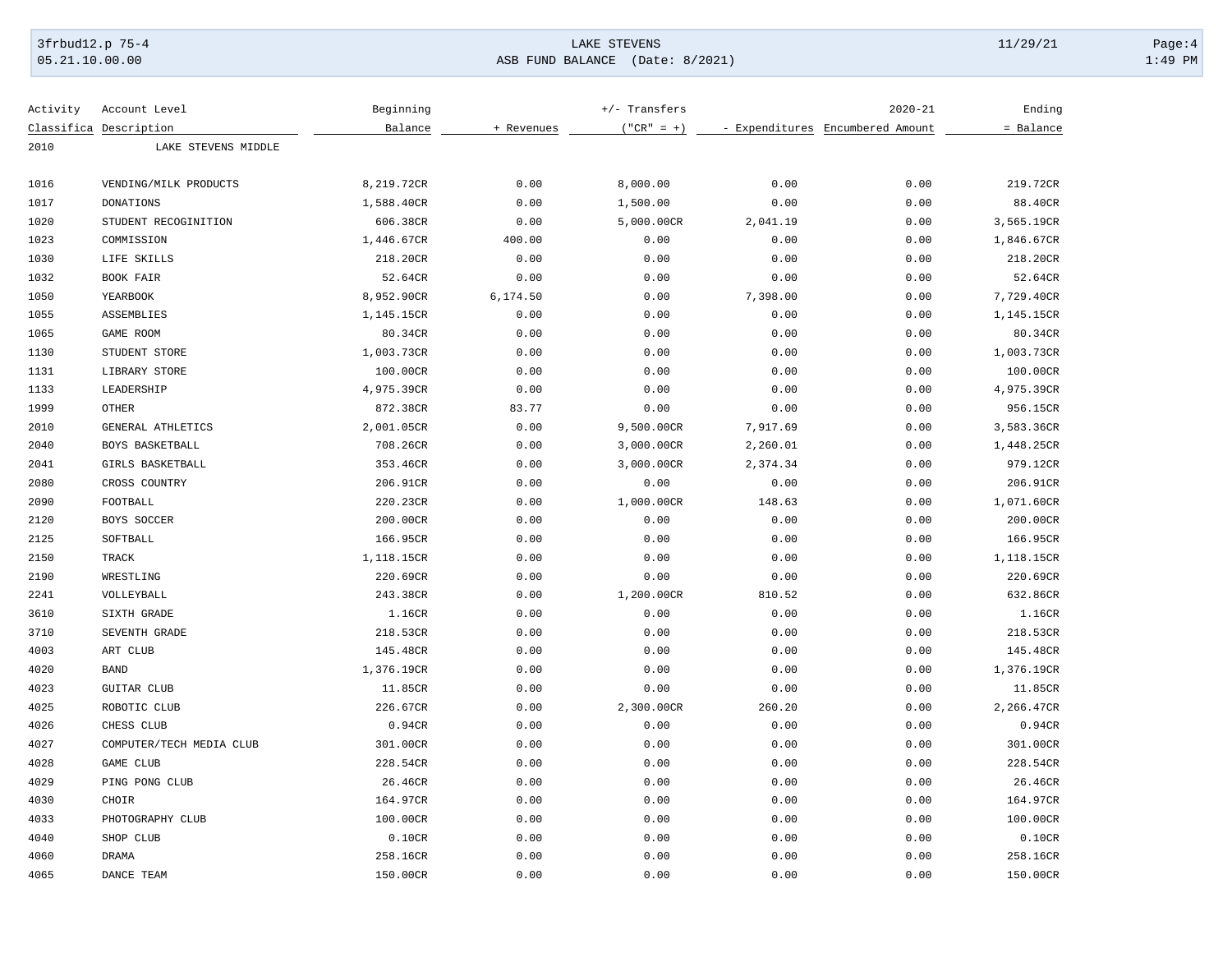# 3frbud12.p 75-4 Page:4 Page:4 Page:4 Page:4 Page:4 Page:4 Page:4 Page:4 Page:4 Page:4 Page:4 Page:4 Page:4 Page:4 Page:4 Page:4 Page:4 Page:4 Page:4 Page:4 Page:4 Page:4 Page:4 Page:4 Page:4 Page:4 Page:4 Page:4 Page:4 Pag [05.21.10.00.00](https://05.21.10.00.00) ASB FUND BALANCE (Date: 8/2021) 1:49 PM

| Activity | Account Level            | Beginning  |            | $+/-$ Transfers |          | $2020 - 21$                      | Ending     |
|----------|--------------------------|------------|------------|-----------------|----------|----------------------------------|------------|
|          | Classifica Description   | Balance    | + Revenues | $("CR" = +)$    |          | - Expenditures Encumbered Amount | = Balance  |
| 2010     | LAKE STEVENS MIDDLE      |            |            |                 |          |                                  |            |
|          |                          |            |            |                 |          |                                  |            |
| 1016     | VENDING/MILK PRODUCTS    | 8,219.72CR | 0.00       | 8,000.00        | 0.00     | 0.00                             | 219.72CR   |
| 1017     | DONATIONS                | 1,588.40CR | 0.00       | 1,500.00        | 0.00     | 0.00                             | 88.40CR    |
| 1020     | STUDENT RECOGINITION     | 606.38CR   | 0.00       | 5,000.00CR      | 2,041.19 | 0.00                             | 3,565.19CR |
| 1023     | COMMISSION               | 1,446.67CR | 400.00     | 0.00            | 0.00     | 0.00                             | 1,846.67CR |
| 1030     | LIFE SKILLS              | 218.20CR   | 0.00       | 0.00            | 0.00     | 0.00                             | 218.20CR   |
| 1032     | BOOK FAIR                | 52.64CR    | 0.00       | 0.00            | 0.00     | 0.00                             | 52.64CR    |
| 1050     | YEARBOOK                 | 8,952.90CR | 6, 174.50  | 0.00            | 7,398.00 | 0.00                             | 7,729.40CR |
| 1055     | ASSEMBLIES               | 1,145.15CR | 0.00       | 0.00            | 0.00     | 0.00                             | 1,145.15CR |
| 1065     | GAME ROOM                | 80.34CR    | 0.00       | 0.00            | 0.00     | 0.00                             | 80.34CR    |
| 1130     | STUDENT STORE            | 1,003.73CR | 0.00       | 0.00            | 0.00     | 0.00                             | 1,003.73CR |
| 1131     | LIBRARY STORE            | 100.00CR   | 0.00       | 0.00            | 0.00     | 0.00                             | 100.00CR   |
| 1133     | LEADERSHIP               | 4,975.39CR | 0.00       | 0.00            | 0.00     | 0.00                             | 4,975.39CR |
| 1999     | <b>OTHER</b>             | 872.38CR   | 83.77      | 0.00            | 0.00     | 0.00                             | 956.15CR   |
| 2010     | GENERAL ATHLETICS        | 2,001.05CR | 0.00       | 9,500.00CR      | 7,917.69 | 0.00                             | 3,583.36CR |
| 2040     | BOYS BASKETBALL          | 708.26CR   | 0.00       | 3,000.00CR      | 2,260.01 | 0.00                             | 1,448.25CR |
| 2041     | GIRLS BASKETBALL         | 353.46CR   | 0.00       | 3,000.00CR      | 2,374.34 | 0.00                             | 979.12CR   |
| 2080     | CROSS COUNTRY            | 206.91CR   | 0.00       | 0.00            | 0.00     | 0.00                             | 206.91CR   |
| 2090     | FOOTBALL                 | 220.23CR   | 0.00       | 1,000.00CR      | 148.63   | 0.00                             | 1,071.60CR |
| 2120     | BOYS SOCCER              | 200.00CR   | 0.00       | 0.00            | 0.00     | 0.00                             | 200.00CR   |
| 2125     | SOFTBALL                 | 166.95CR   | 0.00       | 0.00            | 0.00     | 0.00                             | 166.95CR   |
| 2150     | TRACK                    | 1,118.15CR | 0.00       | 0.00            | 0.00     | 0.00                             | 1,118.15CR |
| 2190     | WRESTLING                | 220.69CR   | 0.00       | 0.00            | 0.00     | 0.00                             | 220.69CR   |
| 2241     | VOLLEYBALL               | 243.38CR   | 0.00       | 1,200.00CR      | 810.52   | 0.00                             | 632.86CR   |
| 3610     | SIXTH GRADE              | 1.16CR     | 0.00       | 0.00            | 0.00     | 0.00                             | 1.16CR     |
| 3710     | SEVENTH GRADE            | 218.53CR   | 0.00       | 0.00            | 0.00     | 0.00                             | 218.53CR   |
| 4003     | ART CLUB                 | 145.48CR   | 0.00       | 0.00            | 0.00     | 0.00                             | 145.48CR   |
| 4020     | <b>BAND</b>              | 1,376.19CR | 0.00       | 0.00            | 0.00     | 0.00                             | 1,376.19CR |
| 4023     | <b>GUITAR CLUB</b>       | 11.85CR    | 0.00       | 0.00            | 0.00     | 0.00                             | 11.85CR    |
| 4025     | ROBOTIC CLUB             | 226.67CR   | 0.00       | 2,300.00CR      | 260.20   | 0.00                             | 2,266.47CR |
| 4026     | CHESS CLUB               | 0.94CR     | 0.00       | 0.00            | 0.00     | 0.00                             | 0.94CR     |
| 4027     | COMPUTER/TECH MEDIA CLUB | 301.00CR   | 0.00       | 0.00            | 0.00     | 0.00                             | 301.00CR   |
| 4028     | GAME CLUB                | 228.54CR   | 0.00       | 0.00            | 0.00     | 0.00                             | 228.54CR   |
| 4029     | PING PONG CLUB           | 26.46CR    | 0.00       | 0.00            | 0.00     | 0.00                             | 26.46CR    |
| 4030     | CHOIR                    | 164.97CR   | 0.00       | 0.00            | 0.00     | 0.00                             | 164.97CR   |
| 4033     | PHOTOGRAPHY CLUB         | 100.00CR   | 0.00       | 0.00            | 0.00     | 0.00                             | 100.00CR   |
| 4040     | SHOP CLUB                | 0.10CR     | 0.00       | 0.00            | 0.00     | 0.00                             | 0.10CR     |
| 4060     | <b>DRAMA</b>             | 258.16CR   | 0.00       | 0.00            | 0.00     | 0.00                             | 258.16CR   |
| 4065     | DANCE TEAM               | 150.00CR   | 0.00       | 0.00            | 0.00     | 0.00                             | 150.00CR   |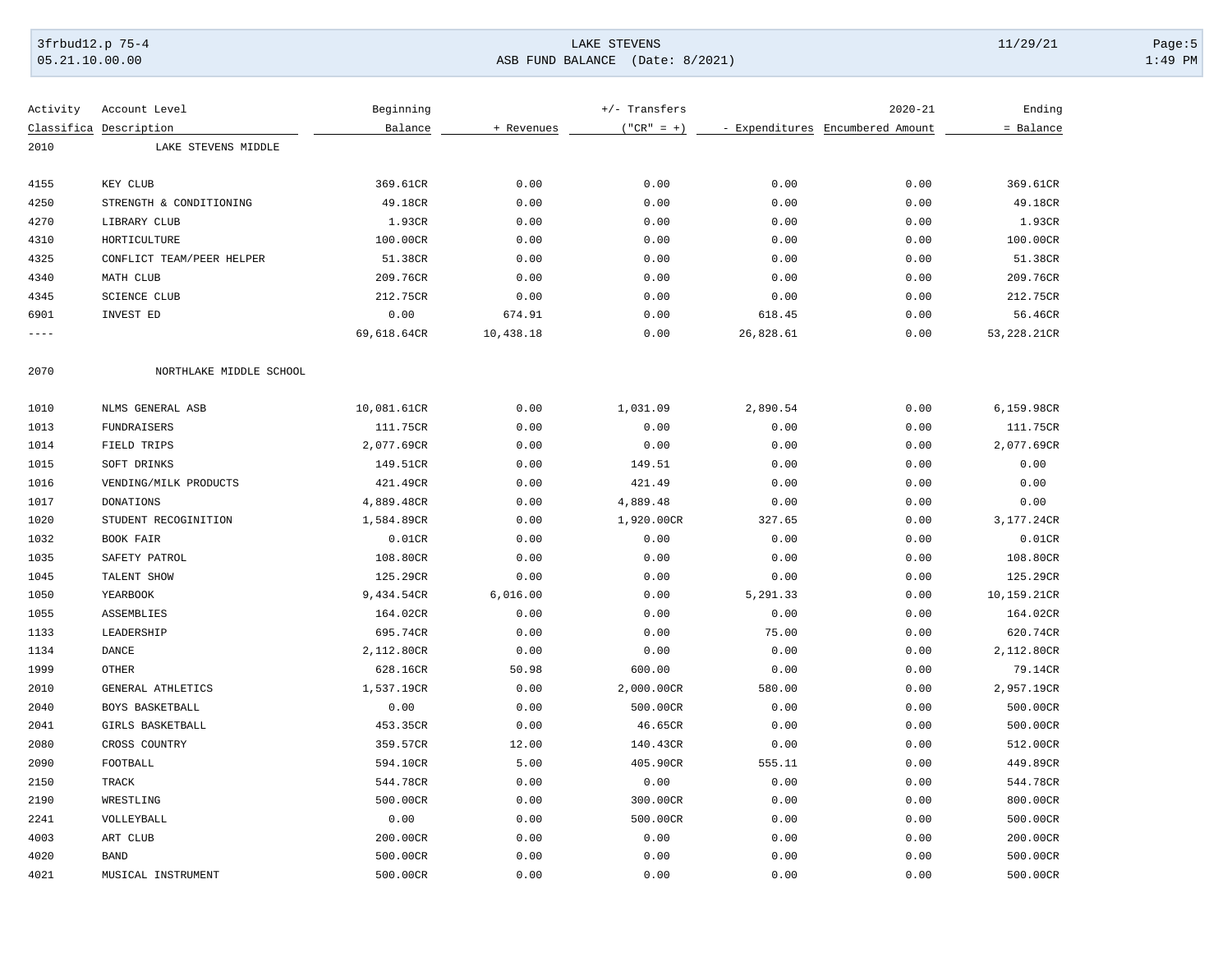# 3frbud12.p 75-4 Page:5 Page:5 Page:5 Page:5 Page:5 Page:5 Page:5 Page:5 Page:5 Page:5 Page:5 Page:5 Page:5 Page:5 Page:5 Page:5 Page:5 Page:5 Page:5 Page:5 Page:5 Page:5 Page:5 Page:5 Page:5 Page:5 Page:5 Page:5 Page:5 Pag [05.21.10.00.00](https://05.21.10.00.00) ASB FUND BALANCE (Date: 8/2021) 1:49 PM

| Activity    | Account Level             | Beginning   |            | +/- Transfers |                | $2020 - 21$                      | Ending      |
|-------------|---------------------------|-------------|------------|---------------|----------------|----------------------------------|-------------|
| Classifica  | Description               | Balance     | + Revenues | $("CR" = +)$  |                | - Expenditures Encumbered Amount | = Balance   |
| 2010        | LAKE STEVENS MIDDLE       |             |            |               |                |                                  |             |
|             |                           |             |            |               |                |                                  |             |
| 4155        | KEY CLUB                  | 369.61CR    | 0.00       | 0.00          | 0.00           | 0.00                             | 369.61CR    |
| 4250        | STRENGTH & CONDITIONING   | 49.18CR     | 0.00       | 0.00          | 0.00           | 0.00                             | 49.18CR     |
| 4270        | LIBRARY CLUB              | 1.93CR      | 0.00       | 0.00          | 0.00           | 0.00                             | 1.93CR      |
| 4310        | HORTICULTURE              | 100.00CR    | 0.00       | 0.00          | 0.00           | 0.00                             | 100.00CR    |
| 4325        | CONFLICT TEAM/PEER HELPER | 51.38CR     | 0.00       | 0.00          | 0.00           | 0.00                             | 51.38CR     |
| 4340        | MATH CLUB                 | 209.76CR    | 0.00       | 0.00          | 0.00           | 0.00                             | 209.76CR    |
| 4345        | <b>SCIENCE CLUB</b>       | 212.75CR    | 0.00       | 0.00          | 0.00           | 0.00                             | 212.75CR    |
| 6901        | INVEST ED                 | 0.00        | 674.91     | 0.00          | 618.45         | 0.00                             | 56.46CR     |
| $- - - - -$ |                           | 69,618.64CR | 10,438.18  | 0.00          | 26,828.61      | 0.00                             | 53,228.21CR |
| 2070        | NORTHLAKE MIDDLE SCHOOL   |             |            |               |                |                                  |             |
| 1010        | NLMS GENERAL ASB          | 10,081.61CR | 0.00       | 1,031.09      | 2,890.54       | 0.00                             | 6,159.98CR  |
| 1013        | <b>FUNDRAISERS</b>        | 111.75CR    | 0.00       | 0.00          | 0.00           | 0.00                             | 111.75CR    |
| 1014        | FIELD TRIPS               | 2,077.69CR  | 0.00       | 0.00          | 0.00           | 0.00                             | 2,077.69CR  |
| 1015        | SOFT DRINKS               | 149.51CR    | 0.00       | 149.51        | 0.00           | 0.00                             | 0.00        |
| 1016        | VENDING/MILK PRODUCTS     | 421.49CR    | 0.00       | 421.49        | 0.00           | 0.00                             | 0.00        |
| 1017        | <b>DONATIONS</b>          | 4,889.48CR  | 0.00       | 4,889.48      |                | 0.00                             | 0.00        |
|             |                           |             |            |               | 0.00<br>327.65 |                                  | 3,177.24CR  |
| 1020        | STUDENT RECOGINITION      | 1,584.89CR  | 0.00       | 1,920.00CR    |                | 0.00                             |             |
| 1032        | BOOK FAIR                 | 0.01CR      | 0.00       | 0.00          | 0.00           | 0.00                             | 0.01CR      |
| 1035        | SAFETY PATROL             | 108.80CR    | 0.00       | 0.00          | 0.00           | 0.00                             | 108.80CR    |
| 1045        | TALENT SHOW               | 125.29CR    | 0.00       | 0.00          | 0.00           | 0.00                             | 125.29CR    |
| 1050        | YEARBOOK                  | 9,434.54CR  | 6,016.00   | 0.00          | 5,291.33       | 0.00                             | 10,159.21CR |
| 1055        | ASSEMBLIES                | 164.02CR    | 0.00       | 0.00          | 0.00           | 0.00                             | 164.02CR    |
| 1133        | LEADERSHIP                | 695.74CR    | 0.00       | 0.00          | 75.00          | 0.00                             | 620.74CR    |
| 1134        | DANCE                     | 2,112.80CR  | 0.00       | 0.00          | 0.00           | 0.00                             | 2,112.80CR  |
| 1999        | <b>OTHER</b>              | 628.16CR    | 50.98      | 600.00        | 0.00           | 0.00                             | 79.14CR     |
| 2010        | GENERAL ATHLETICS         | 1,537.19CR  | 0.00       | 2,000.00CR    | 580.00         | 0.00                             | 2,957.19CR  |
| 2040        | BOYS BASKETBALL           | 0.00        | 0.00       | 500.00CR      | 0.00           | 0.00                             | 500.00CR    |
| 2041        | GIRLS BASKETBALL          | 453.35CR    | 0.00       | 46.65CR       | 0.00           | 0.00                             | 500.00CR    |
| 2080        | CROSS COUNTRY             | 359.57CR    | 12.00      | 140.43CR      | 0.00           | 0.00                             | 512.00CR    |
| 2090        | FOOTBALL                  | 594.10CR    | 5.00       | 405.90CR      | 555.11         | 0.00                             | 449.89CR    |
| 2150        | TRACK                     | 544.78CR    | 0.00       | 0.00          | 0.00           | 0.00                             | 544.78CR    |
| 2190        | WRESTLING                 | 500.00CR    | 0.00       | 300.00CR      | 0.00           | 0.00                             | 800.00CR    |
| 2241        | VOLLEYBALL                | 0.00        | 0.00       | 500.00CR      | 0.00           | 0.00                             | 500.00CR    |
| 4003        | ART CLUB                  | 200.00CR    | 0.00       | 0.00          | 0.00           | 0.00                             | 200.00CR    |
| 4020        | <b>BAND</b>               | 500.00CR    | 0.00       | 0.00          | 0.00           | 0.00                             | 500.00CR    |
| 4021        | MUSICAL INSTRUMENT        | 500.00CR    | 0.00       | 0.00          | 0.00           | 0.00                             | 500.00CR    |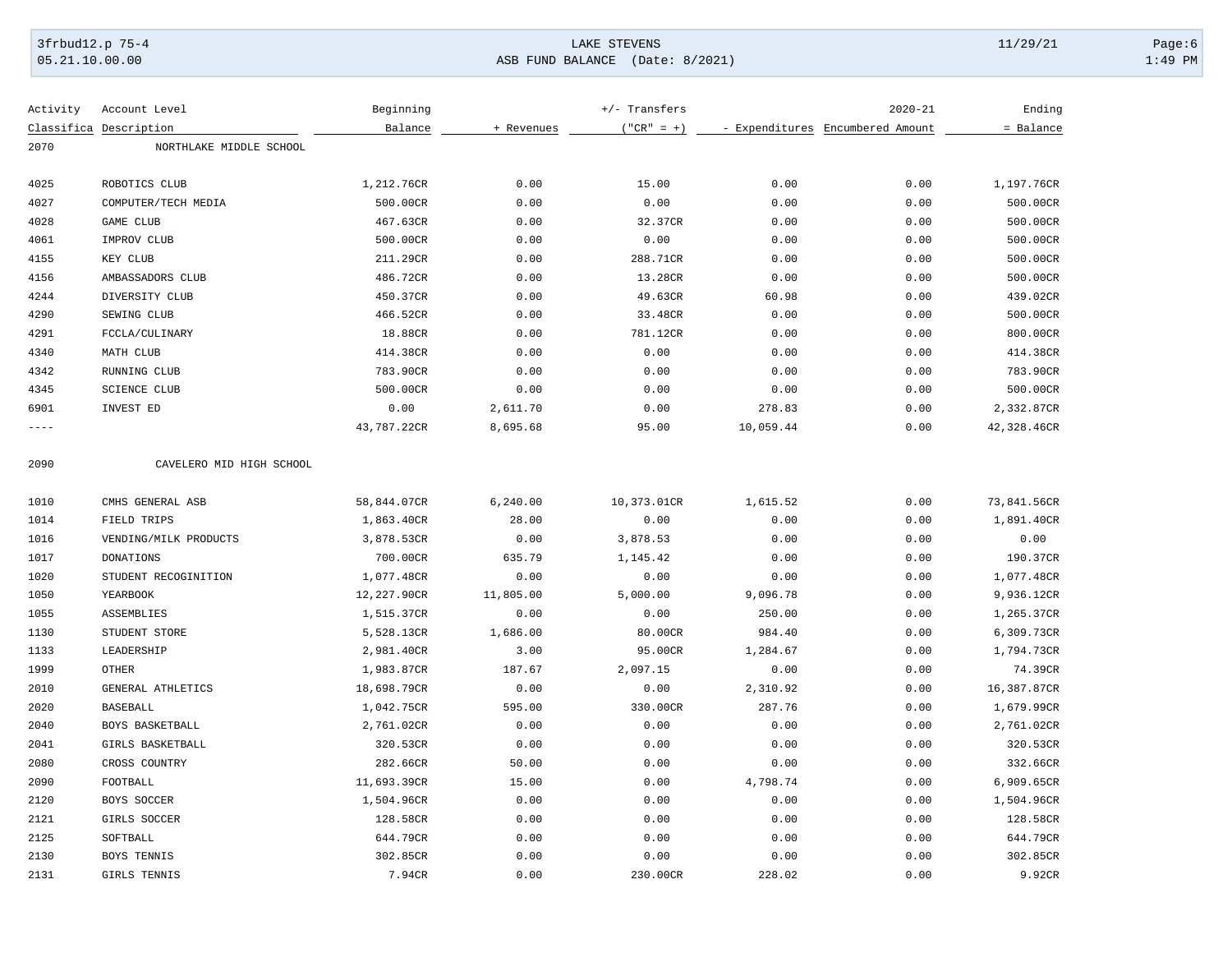# 3frbud12.p 75-4 LAKE STEVENS 11/29/21 Page:6 [05.21.10.00.00](https://05.21.10.00.00) ASB FUND BALANCE (Date: 8/2021) 1:49 PM

| Activity  | Account Level            | Beginning   |            | $+/-$ Transfers |           | $2020 - 21$                      | Ending      |
|-----------|--------------------------|-------------|------------|-----------------|-----------|----------------------------------|-------------|
|           | Classifica Description   | Balance     | + Revenues | $("CR" = +)$    |           | - Expenditures Encumbered Amount | = Balance   |
| 2070      | NORTHLAKE MIDDLE SCHOOL  |             |            |                 |           |                                  |             |
|           |                          |             |            |                 |           |                                  |             |
| 4025      | ROBOTICS CLUB            | 1,212.76CR  | 0.00       | 15.00           | 0.00      | 0.00                             | 1,197.76CR  |
| 4027      | COMPUTER/TECH MEDIA      | 500.00CR    | 0.00       | 0.00            | 0.00      | 0.00                             | 500.00CR    |
| 4028      | GAME CLUB                | 467.63CR    | 0.00       | 32.37CR         | 0.00      | 0.00                             | 500.00CR    |
| 4061      | IMPROV CLUB              | 500.00CR    | 0.00       | 0.00            | 0.00      | 0.00                             | 500.00CR    |
| 4155      | KEY CLUB                 | 211.29CR    | 0.00       | 288.71CR        | 0.00      | 0.00                             | 500.00CR    |
| 4156      | AMBASSADORS CLUB         | 486.72CR    | 0.00       | 13.28CR         | 0.00      | 0.00                             | 500.00CR    |
| 4244      | DIVERSITY CLUB           | 450.37CR    | 0.00       | 49.63CR         | 60.98     | 0.00                             | 439.02CR    |
| 4290      | SEWING CLUB              | 466.52CR    | 0.00       | 33.48CR         | 0.00      | 0.00                             | 500.00CR    |
| 4291      | FCCLA/CULINARY           | 18.88CR     | 0.00       | 781.12CR        | 0.00      | 0.00                             | 800.00CR    |
| 4340      | MATH CLUB                | 414.38CR    | 0.00       | 0.00            | 0.00      | 0.00                             | 414.38CR    |
| 4342      | RUNNING CLUB             | 783.90CR    | 0.00       | 0.00            | 0.00      | 0.00                             | 783.90CR    |
| 4345      | <b>SCIENCE CLUB</b>      | 500.00CR    | 0.00       | 0.00            | 0.00      | 0.00                             | 500.00CR    |
| 6901      | INVEST ED                | 0.00        | 2,611.70   | 0.00            | 278.83    | 0.00                             | 2,332.87CR  |
| $- - - -$ |                          | 43,787.22CR | 8,695.68   | 95.00           | 10,059.44 | 0.00                             | 42,328.46CR |
| 2090      | CAVELERO MID HIGH SCHOOL |             |            |                 |           |                                  |             |
| 1010      | CMHS GENERAL ASB         | 58,844.07CR | 6, 240.00  | 10,373.01CR     | 1,615.52  | 0.00                             | 73,841.56CR |
| 1014      | FIELD TRIPS              | 1,863.40CR  | 28.00      | 0.00            | 0.00      | 0.00                             | 1,891.40CR  |
| 1016      | VENDING/MILK PRODUCTS    | 3,878.53CR  | 0.00       | 3,878.53        | 0.00      | 0.00                             | 0.00        |
| 1017      | <b>DONATIONS</b>         | 700.00CR    | 635.79     | 1,145.42        | 0.00      | 0.00                             | 190.37CR    |
| 1020      | STUDENT RECOGINITION     | 1,077.48CR  | 0.00       | 0.00            | 0.00      | 0.00                             | 1,077.48CR  |
| 1050      | YEARBOOK                 | 12,227.90CR | 11,805.00  | 5,000.00        | 9,096.78  | 0.00                             | 9,936.12CR  |
| 1055      | ASSEMBLIES               | 1,515.37CR  | 0.00       | 0.00            | 250.00    | 0.00                             | 1,265.37CR  |
| 1130      | STUDENT STORE            | 5,528.13CR  | 1,686.00   | 80.00CR         | 984.40    | 0.00                             | 6,309.73CR  |
| 1133      | LEADERSHIP               | 2,981.40CR  | 3.00       | 95.00CR         | 1,284.67  | 0.00                             | 1,794.73CR  |
| 1999      | <b>OTHER</b>             | 1,983.87CR  | 187.67     | 2,097.15        | 0.00      | 0.00                             | 74.39CR     |
| 2010      | GENERAL ATHLETICS        | 18,698.79CR | 0.00       | 0.00            | 2,310.92  | 0.00                             | 16,387.87CR |
|           |                          |             |            |                 |           |                                  |             |
| 2020      | <b>BASEBALL</b>          | 1,042.75CR  | 595.00     | 330.00CR        | 287.76    | 0.00                             | 1,679.99CR  |
| 2040      | BOYS BASKETBALL          | 2,761.02CR  | 0.00       | 0.00            | 0.00      | 0.00                             | 2,761.02CR  |
| 2041      | GIRLS BASKETBALL         | 320.53CR    | 0.00       | 0.00            | 0.00      | 0.00                             | 320.53CR    |
| 2080      | CROSS COUNTRY            | 282.66CR    | 50.00      | 0.00            | 0.00      | 0.00                             | 332.66CR    |
| 2090      | FOOTBALL                 | 11,693.39CR | 15.00      | 0.00            | 4,798.74  | 0.00                             | 6,909.65CR  |
| 2120      | BOYS SOCCER              | 1,504.96CR  | 0.00       | 0.00            | 0.00      | 0.00                             | 1,504.96CR  |
| 2121      | GIRLS SOCCER             | 128.58CR    | 0.00       | 0.00            | 0.00      | 0.00                             | 128.58CR    |
| 2125      | SOFTBALL                 | 644.79CR    | 0.00       | 0.00            | 0.00      | 0.00                             | 644.79CR    |
| 2130      | BOYS TENNIS              | 302.85CR    | 0.00       | 0.00            | 0.00      | 0.00                             | 302.85CR    |
| 2131      | GIRLS TENNIS             | 7.94CR      | 0.00       | 230.00CR        | 228.02    | 0.00                             | 9.92CR      |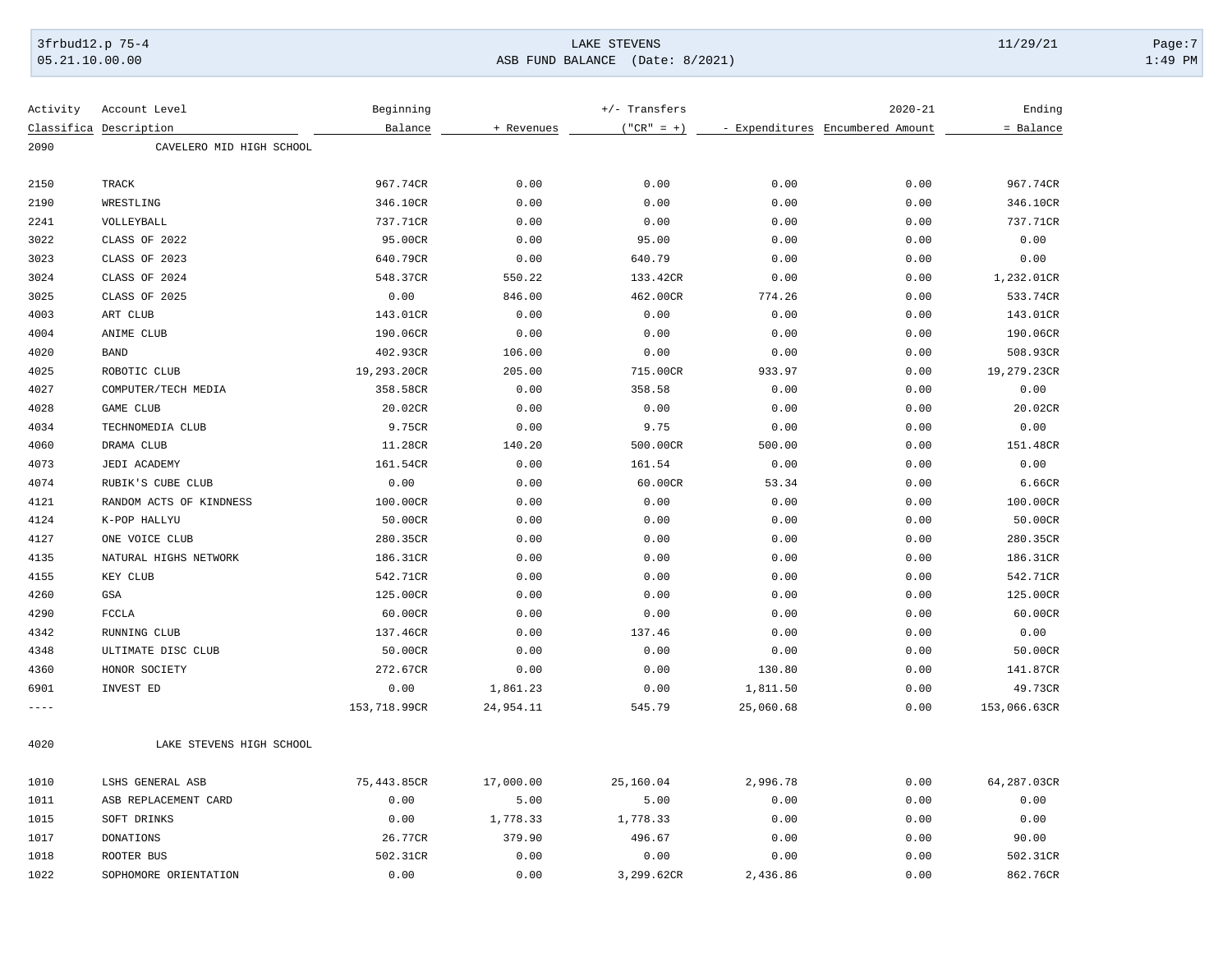# 3frbud12.p 75-4 Page:7 Page:7 Page:7 Page:7 Page:7 Page:7 Page:7 Page:7 Page:7 Page:7 Page:7 Page:7 Page:7 Page:7 Page:7 Page:7 Page:7 Page:7 Page:7 Page:7 Page:7 Page:7 Page:7 Page:7 Page:7 Page:7 Page:7 Page:7 Page:7 Pag [05.21.10.00.00](https://05.21.10.00.00) ASB FUND BALANCE (Date: 8/2021) 1:49 PM

| Activity  | Account Level            | Beginning    |            | +/- Transfers |           | $2020 - 21$                      | Ending       |
|-----------|--------------------------|--------------|------------|---------------|-----------|----------------------------------|--------------|
|           | Classifica Description   | Balance      | + Revenues | $("CR" = +)$  |           | - Expenditures Encumbered Amount | = Balance    |
| 2090      | CAVELERO MID HIGH SCHOOL |              |            |               |           |                                  |              |
| 2150      | TRACK                    | 967.74CR     | 0.00       | 0.00          | 0.00      | 0.00                             | 967.74CR     |
| 2190      | WRESTLING                | 346.10CR     | 0.00       | 0.00          | 0.00      | 0.00                             | 346.10CR     |
| 2241      | VOLLEYBALL               | 737.71CR     | 0.00       | 0.00          | 0.00      | 0.00                             | 737.71CR     |
| 3022      | CLASS OF 2022            | 95.00CR      | 0.00       | 95.00         | 0.00      | 0.00                             | 0.00         |
| 3023      | CLASS OF 2023            | 640.79CR     | 0.00       | 640.79        | 0.00      | 0.00                             | 0.00         |
| 3024      | CLASS OF 2024            | 548.37CR     | 550.22     | 133.42CR      | 0.00      | 0.00                             | 1,232.01CR   |
| 3025      | CLASS OF 2025            | 0.00         | 846.00     | 462.00CR      | 774.26    | 0.00                             | 533.74CR     |
| 4003      | ART CLUB                 | 143.01CR     | 0.00       | 0.00          | 0.00      | 0.00                             | 143.01CR     |
| 4004      | ANIME CLUB               | 190.06CR     | 0.00       | 0.00          | 0.00      | 0.00                             | 190.06CR     |
| 4020      | <b>BAND</b>              | 402.93CR     | 106.00     | 0.00          | 0.00      | 0.00                             | 508.93CR     |
| 4025      | ROBOTIC CLUB             | 19,293.20CR  | 205.00     | 715.00CR      | 933.97    | 0.00                             | 19,279.23CR  |
| 4027      | COMPUTER/TECH MEDIA      | 358.58CR     | 0.00       | 358.58        | 0.00      | 0.00                             | 0.00         |
| 4028      | <b>GAME CLUB</b>         | 20.02CR      | 0.00       | 0.00          | 0.00      | 0.00                             | 20.02CR      |
| 4034      | TECHNOMEDIA CLUB         | 9.75CR       | 0.00       | 9.75          | 0.00      | 0.00                             | 0.00         |
| 4060      | DRAMA CLUB               | 11.28CR      | 140.20     | 500.00CR      | 500.00    | 0.00                             | 151.48CR     |
| 4073      | JEDI ACADEMY             | 161.54CR     | 0.00       | 161.54        | 0.00      | 0.00                             | 0.00         |
| 4074      | RUBIK'S CUBE CLUB        | 0.00         | 0.00       | 60.00CR       | 53.34     | 0.00                             | 6.66CR       |
| 4121      | RANDOM ACTS OF KINDNESS  | 100.00CR     | 0.00       | 0.00          | 0.00      | 0.00                             | 100.00CR     |
| 4124      | K-POP HALLYU             | 50.00CR      | 0.00       | 0.00          | 0.00      | 0.00                             | 50.00CR      |
| 4127      | ONE VOICE CLUB           | 280.35CR     | 0.00       | 0.00          | 0.00      | 0.00                             | 280.35CR     |
| 4135      | NATURAL HIGHS NETWORK    | 186.31CR     | 0.00       | 0.00          | 0.00      | 0.00                             | 186.31CR     |
| 4155      | KEY CLUB                 | 542.71CR     | 0.00       | 0.00          | 0.00      | 0.00                             | 542.71CR     |
| 4260      | GSA                      | 125.00CR     | 0.00       | 0.00          | 0.00      | 0.00                             | 125.00CR     |
| 4290      | ${\tt FCCLA}$            | 60.00CR      | 0.00       | 0.00          | 0.00      | 0.00                             | 60.00CR      |
| 4342      | RUNNING CLUB             | 137.46CR     | 0.00       | 137.46        | 0.00      | 0.00                             | 0.00         |
| 4348      | ULTIMATE DISC CLUB       | 50.00CR      | 0.00       | 0.00          | 0.00      | 0.00                             | 50.00CR      |
| 4360      | HONOR SOCIETY            | 272.67CR     | 0.00       | 0.00          | 130.80    | 0.00                             | 141.87CR     |
| 6901      | INVEST ED                | 0.00         | 1,861.23   | 0.00          | 1,811.50  | 0.00                             | 49.73CR      |
| $- - - -$ |                          | 153,718.99CR | 24,954.11  | 545.79        | 25,060.68 | 0.00                             | 153,066.63CR |
| 4020      | LAKE STEVENS HIGH SCHOOL |              |            |               |           |                                  |              |
| 1010      | LSHS GENERAL ASB         | 75,443.85CR  | 17,000.00  | 25,160.04     | 2,996.78  | 0.00                             | 64,287.03CR  |
| 1011      | ASB REPLACEMENT CARD     | 0.00         | 5.00       | 5.00          | 0.00      | 0.00                             | 0.00         |
| 1015      | SOFT DRINKS              | 0.00         | 1,778.33   | 1,778.33      | 0.00      | 0.00                             | 0.00         |
| 1017      | <b>DONATIONS</b>         | 26.77CR      | 379.90     | 496.67        | 0.00      | 0.00                             | 90.00        |
| 1018      | ROOTER BUS               | 502.31CR     | 0.00       | 0.00          | 0.00      | 0.00                             | 502.31CR     |
| 1022      | SOPHOMORE ORIENTATION    | 0.00         | 0.00       | 3,299.62CR    | 2,436.86  | 0.00                             | 862.76CR     |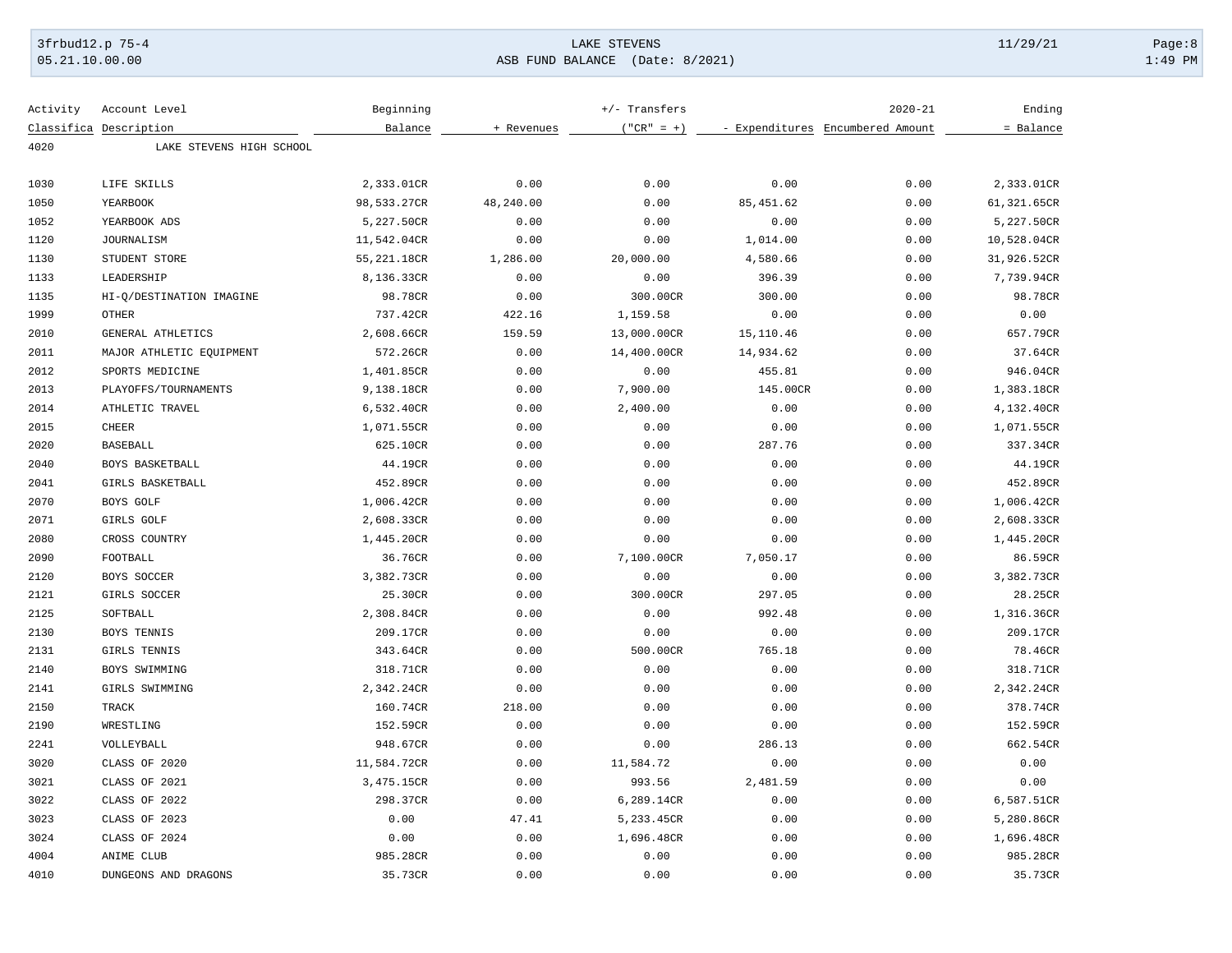### 3frbud12.p 75-4 Page:8 Page:8 Page:8 Page:8 Page:8 Page:8 Page:8 Page:8 Page:8 Page:8 Page:8 Page:8 Page:8 Page:8 Page:8 Page:8 Page:8 Page:8 Page:8 Page:8 Page:8 Page:8 Page:8 Page:8 Page:8 Page:8 Page:8 Page:8 Page:8 Pag [05.21.10.00.00](https://05.21.10.00.00) ASB FUND BALANCE (Date: 8/2021) 1:49 PM

| Activity | Account Level            | Beginning    |            | +/- Transfers |            | $2020 - 21$                      | Ending      |
|----------|--------------------------|--------------|------------|---------------|------------|----------------------------------|-------------|
|          | Classifica Description   | Balance      | + Revenues | $("CR" = +)$  |            | - Expenditures Encumbered Amount | = Balance   |
| 4020     | LAKE STEVENS HIGH SCHOOL |              |            |               |            |                                  |             |
|          |                          |              |            |               |            |                                  |             |
| 1030     | LIFE SKILLS              | 2,333.01CR   | 0.00       | 0.00          | 0.00       | 0.00                             | 2,333.01CR  |
| 1050     | YEARBOOK                 | 98,533.27CR  | 48,240.00  | 0.00          | 85, 451.62 | 0.00                             | 61,321.65CR |
| 1052     | YEARBOOK ADS             | 5,227.50CR   | 0.00       | 0.00          | 0.00       | 0.00                             | 5,227.50CR  |
| 1120     | <b>JOURNALISM</b>        | 11,542.04CR  | 0.00       | 0.00          | 1,014.00   | 0.00                             | 10,528.04CR |
| 1130     | STUDENT STORE            | 55, 221.18CR | 1,286.00   | 20,000.00     | 4,580.66   | 0.00                             | 31,926.52CR |
| 1133     | LEADERSHIP               | 8,136.33CR   | 0.00       | 0.00          | 396.39     | 0.00                             | 7,739.94CR  |
| 1135     | HI-Q/DESTINATION IMAGINE | 98.78CR      | 0.00       | 300.00CR      | 300.00     | 0.00                             | 98.78CR     |
| 1999     | <b>OTHER</b>             | 737.42CR     | 422.16     | 1,159.58      | 0.00       | 0.00                             | 0.00        |
| 2010     | GENERAL ATHLETICS        | 2,608.66CR   | 159.59     | 13,000.00CR   | 15,110.46  | 0.00                             | 657.79CR    |
| 2011     | MAJOR ATHLETIC EQUIPMENT | 572.26CR     | 0.00       | 14,400.00CR   | 14,934.62  | 0.00                             | 37.64CR     |
| 2012     | SPORTS MEDICINE          | 1,401.85CR   | 0.00       | 0.00          | 455.81     | 0.00                             | 946.04CR    |
| 2013     | PLAYOFFS/TOURNAMENTS     | 9,138.18CR   | 0.00       | 7,900.00      | 145.00CR   | 0.00                             | 1,383.18CR  |
| 2014     | ATHLETIC TRAVEL          | 6,532.40CR   | 0.00       | 2,400.00      | 0.00       | 0.00                             | 4,132.40CR  |
| 2015     | <b>CHEER</b>             | 1,071.55CR   | 0.00       | 0.00          | 0.00       | 0.00                             | 1,071.55CR  |
| 2020     | <b>BASEBALL</b>          | 625.10CR     | 0.00       | 0.00          | 287.76     | 0.00                             | 337.34CR    |
| 2040     | BOYS BASKETBALL          | 44.19CR      | 0.00       | 0.00          | 0.00       | 0.00                             | 44.19CR     |
| 2041     | GIRLS BASKETBALL         | 452.89CR     | 0.00       | 0.00          | 0.00       | 0.00                             | 452.89CR    |
| 2070     | BOYS GOLF                | 1,006.42CR   | 0.00       | 0.00          | 0.00       | 0.00                             | 1,006.42CR  |
| 2071     | GIRLS GOLF               | 2,608.33CR   | 0.00       | 0.00          | 0.00       | 0.00                             | 2,608.33CR  |
| 2080     | CROSS COUNTRY            | 1,445.20CR   | 0.00       | 0.00          | 0.00       | 0.00                             | 1,445.20CR  |
| 2090     | FOOTBALL                 | 36.76CR      | 0.00       | 7,100.00CR    | 7,050.17   | 0.00                             | 86.59CR     |
| 2120     | BOYS SOCCER              | 3,382.73CR   | 0.00       | 0.00          | 0.00       | 0.00                             | 3,382.73CR  |
| 2121     | GIRLS SOCCER             | 25.30CR      | 0.00       | 300.00CR      | 297.05     | 0.00                             | 28.25CR     |
| 2125     | SOFTBALL                 | 2,308.84CR   | 0.00       | 0.00          | 992.48     | 0.00                             | 1,316.36CR  |
| 2130     | BOYS TENNIS              | 209.17CR     | 0.00       | 0.00          | 0.00       | 0.00                             | 209.17CR    |
| 2131     | GIRLS TENNIS             | 343.64CR     | 0.00       | 500.00CR      | 765.18     | 0.00                             | 78.46CR     |
| 2140     | BOYS SWIMMING            | 318.71CR     | 0.00       | 0.00          | 0.00       | 0.00                             | 318.71CR    |
| 2141     | GIRLS SWIMMING           | 2,342.24CR   | 0.00       | 0.00          | 0.00       | 0.00                             | 2,342.24CR  |
| 2150     | <b>TRACK</b>             | 160.74CR     | 218.00     | 0.00          | 0.00       | 0.00                             | 378.74CR    |
| 2190     | WRESTLING                | 152.59CR     | 0.00       | 0.00          | 0.00       | 0.00                             | 152.59CR    |
| 2241     | VOLLEYBALL               | 948.67CR     | 0.00       | 0.00          | 286.13     | 0.00                             | 662.54CR    |
| 3020     | CLASS OF 2020            | 11,584.72CR  | 0.00       | 11,584.72     | 0.00       | 0.00                             | 0.00        |
| 3021     | CLASS OF 2021            | 3,475.15CR   | 0.00       | 993.56        | 2,481.59   | 0.00                             | 0.00        |
| 3022     | CLASS OF 2022            | 298.37CR     | 0.00       | 6,289.14CR    | 0.00       | 0.00                             | 6,587.51CR  |
| 3023     | CLASS OF 2023            | 0.00         | 47.41      | 5,233.45CR    | 0.00       | 0.00                             | 5,280.86CR  |
| 3024     | CLASS OF 2024            | 0.00         | 0.00       | 1,696.48CR    | 0.00       | 0.00                             | 1,696.48CR  |
| 4004     | ANIME CLUB               | 985.28CR     | 0.00       | 0.00          | 0.00       | 0.00                             | 985.28CR    |
| 4010     | DUNGEONS AND DRAGONS     | 35.73CR      | 0.00       | 0.00          | 0.00       | 0.00                             | 35.73CR     |
|          |                          |              |            |               |            |                                  |             |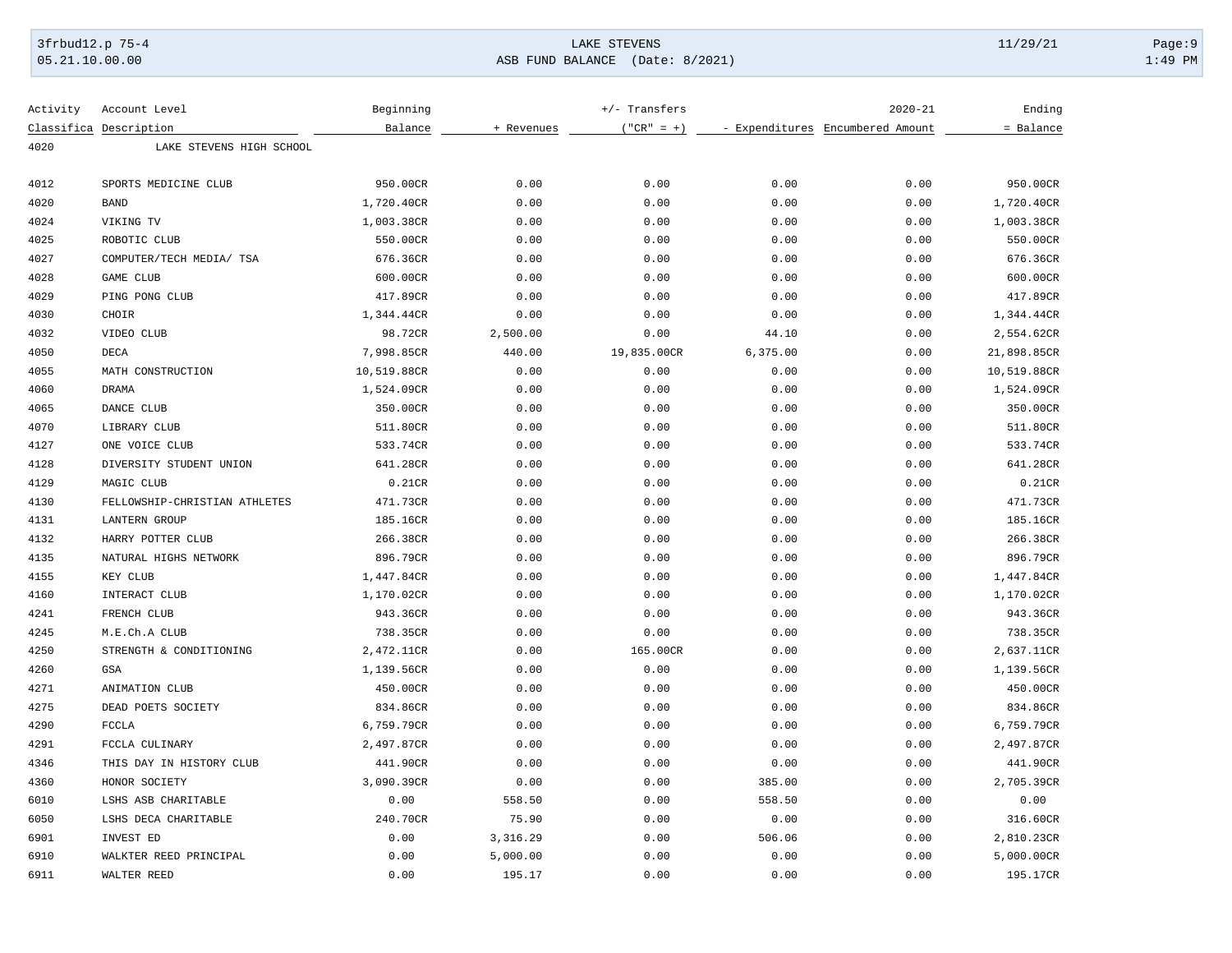# 3frbud12.p 75-4 Page:9 Page:9 Page:9 Page:9 Page:9 Page:9 Page:9 Page:9 Page:9 Page:9 Page:9 Page:9 Page:9 Page:9 Page:9 Page:9 Page:9 Page:9 Page:9 Page:9 Page:9 Page:9 Page:9 Page:9 Page:9 Page:9 Page:9 Page:9 Page:9 Pag [05.21.10.00.00](https://05.21.10.00.00) ASB FUND BALANCE (Date: 8/2021) 1:49 PM

| Activity | Account Level                 | Beginning   |            | +/- Transfers |          | $2020 - 21$                      | Ending      |
|----------|-------------------------------|-------------|------------|---------------|----------|----------------------------------|-------------|
|          | Classifica Description        | Balance     | + Revenues | $("CR" = +)$  |          | - Expenditures Encumbered Amount | = Balance   |
| 4020     | LAKE STEVENS HIGH SCHOOL      |             |            |               |          |                                  |             |
| 4012     | SPORTS MEDICINE CLUB          | 950.00CR    | 0.00       | 0.00          | 0.00     | 0.00                             | 950.00CR    |
| 4020     | <b>BAND</b>                   | 1,720.40CR  | 0.00       | 0.00          | 0.00     | 0.00                             | 1,720.40CR  |
| 4024     | VIKING TV                     | 1,003.38CR  | 0.00       | 0.00          | 0.00     | 0.00                             | 1,003.38CR  |
| 4025     | ROBOTIC CLUB                  | 550.00CR    | 0.00       | 0.00          | 0.00     | 0.00                             | 550.00CR    |
| 4027     | COMPUTER/TECH MEDIA/ TSA      | 676.36CR    | 0.00       | 0.00          | 0.00     | 0.00                             | 676.36CR    |
| 4028     | <b>GAME CLUB</b>              | 600.00CR    | 0.00       | 0.00          | 0.00     | 0.00                             | 600.00CR    |
| 4029     | PING PONG CLUB                | 417.89CR    | 0.00       | 0.00          | 0.00     | 0.00                             | 417.89CR    |
| 4030     | CHOIR                         | 1,344.44CR  | 0.00       | 0.00          | 0.00     | 0.00                             | 1,344.44CR  |
| 4032     | VIDEO CLUB                    | 98.72CR     | 2,500.00   | 0.00          | 44.10    | 0.00                             | 2,554.62CR  |
| 4050     | DECA                          | 7,998.85CR  | 440.00     | 19,835.00CR   | 6,375.00 | 0.00                             | 21,898.85CR |
| 4055     | MATH CONSTRUCTION             | 10,519.88CR | 0.00       | 0.00          | 0.00     | 0.00                             | 10,519.88CR |
| 4060     | <b>DRAMA</b>                  | 1,524.09CR  | 0.00       | 0.00          | 0.00     | 0.00                             | 1,524.09CR  |
| 4065     | DANCE CLUB                    | 350.00CR    | 0.00       | 0.00          | 0.00     | 0.00                             | 350.00CR    |
| 4070     | LIBRARY CLUB                  | 511.80CR    | 0.00       | 0.00          | 0.00     | 0.00                             | 511.80CR    |
| 4127     | ONE VOICE CLUB                | 533.74CR    | 0.00       | 0.00          | 0.00     | 0.00                             | 533.74CR    |
| 4128     | DIVERSITY STUDENT UNION       | 641.28CR    | 0.00       | 0.00          | 0.00     | 0.00                             | 641.28CR    |
| 4129     | MAGIC CLUB                    | 0.21CR      | 0.00       | 0.00          | 0.00     | 0.00                             | 0.21CR      |
| 4130     | FELLOWSHIP-CHRISTIAN ATHLETES | 471.73CR    | 0.00       | 0.00          | 0.00     | 0.00                             | 471.73CR    |
| 4131     | <b>LANTERN GROUP</b>          | 185.16CR    | 0.00       | 0.00          | 0.00     | 0.00                             | 185.16CR    |
| 4132     | HARRY POTTER CLUB             | 266.38CR    | 0.00       | 0.00          | 0.00     | 0.00                             | 266.38CR    |
| 4135     | NATURAL HIGHS NETWORK         | 896.79CR    | 0.00       | 0.00          | 0.00     | 0.00                             | 896.79CR    |
| 4155     | KEY CLUB                      | 1,447.84CR  | 0.00       | 0.00          | 0.00     | 0.00                             | 1,447.84CR  |
| 4160     | INTERACT CLUB                 | 1,170.02CR  | 0.00       | 0.00          | 0.00     | 0.00                             | 1,170.02CR  |
| 4241     | FRENCH CLUB                   | 943.36CR    | 0.00       | 0.00          | 0.00     | 0.00                             | 943.36CR    |
| 4245     | M.E.Ch.A CLUB                 | 738.35CR    | 0.00       | 0.00          | 0.00     | 0.00                             | 738.35CR    |
| 4250     | STRENGTH & CONDITIONING       | 2,472.11CR  | 0.00       | 165.00CR      | 0.00     | 0.00                             | 2,637.11CR  |
| 4260     | GSA                           | 1,139.56CR  | 0.00       | 0.00          | 0.00     | 0.00                             | 1,139.56CR  |
| 4271     | ANIMATION CLUB                | 450.00CR    | 0.00       | 0.00          | 0.00     | 0.00                             | 450.00CR    |
| 4275     | DEAD POETS SOCIETY            | 834.86CR    | 0.00       | 0.00          | 0.00     | 0.00                             | 834.86CR    |
| 4290     | <b>FCCLA</b>                  | 6,759.79CR  | 0.00       | 0.00          | 0.00     | 0.00                             | 6,759.79CR  |
| 4291     | FCCLA CULINARY                | 2,497.87CR  | 0.00       | 0.00          | 0.00     | 0.00                             | 2,497.87CR  |
| 4346     | THIS DAY IN HISTORY CLUB      | 441.90CR    | 0.00       | 0.00          | 0.00     | 0.00                             | 441.90CR    |
| 4360     | HONOR SOCIETY                 | 3,090.39CR  | 0.00       | 0.00          | 385.00   | 0.00                             | 2,705.39CR  |
| 6010     | LSHS ASB CHARITABLE           | 0.00        | 558.50     | 0.00          | 558.50   | 0.00                             | 0.00        |
| 6050     | LSHS DECA CHARITABLE          | 240.70CR    | 75.90      | 0.00          | 0.00     | 0.00                             | 316.60CR    |
| 6901     | INVEST ED                     | 0.00        | 3,316.29   | 0.00          | 506.06   | 0.00                             | 2,810.23CR  |
| 6910     | WALKTER REED PRINCIPAL        | 0.00        | 5,000.00   | 0.00          | 0.00     | 0.00                             | 5,000.00CR  |
| 6911     | WALTER REED                   | 0.00        | 195.17     | 0.00          | 0.00     | 0.00                             | 195.17CR    |